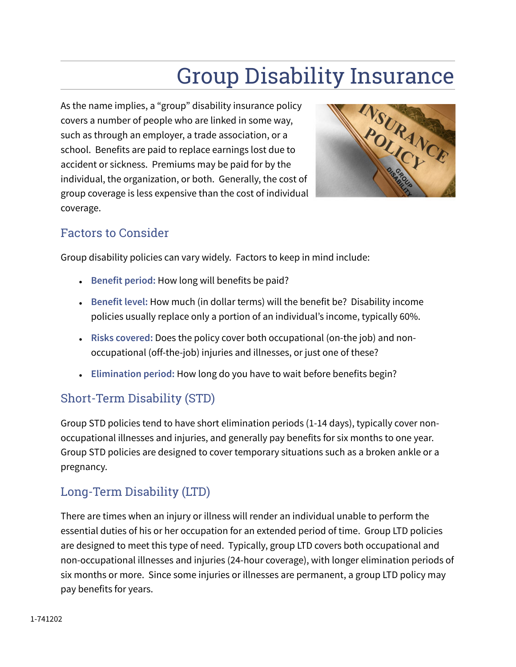# Group Disability Insurance

As the name implies, a "group" disability insurance policy covers a number of people who are linked in some way, such as through an employer, a trade association, or a school. Benefits are paid to replace earnings lost due to accident or sickness. Premiums may be paid for by the individual, the organization, or both. Generally, the cost of group coverage is less expensive than the cost of individual coverage.



## Factors to Consider

Group disability policies can vary widely. Factors to keep in mind include:

- Benefit period: How long will benefits be paid?
- **Benefit level:** How much (in dollar terms) will the benefit be? Disability income policies usually replace only a portion of an individual's income, typically 60%.
- **Risks covered:** Does the policy cover both occupational (on-the job) and nonoccupational (off-the-job) injuries and illnesses, or just one of these?
- **Elimination period:** How long do you have to wait before benefits begin?

## Short-Term Disability (STD)

Group STD policies tend to have short elimination periods (1-14 days), typically cover nonoccupational illnesses and injuries, and generally pay benefits for six months to one year. Group STD policies are designed to cover temporary situations such as a broken ankle or a pregnancy.

## Long-Term Disability (LTD)

There are times when an injury or illness will render an individual unable to perform the essential duties of his or her occupation for an extended period of time. Group LTD policies are designed to meet this type of need. Typically, group LTD covers both occupational and non-occupational illnesses and injuries (24-hour coverage), with longer elimination periods of six months or more. Since some injuries or illnesses are permanent, a group LTD policy may pay benefits for years.